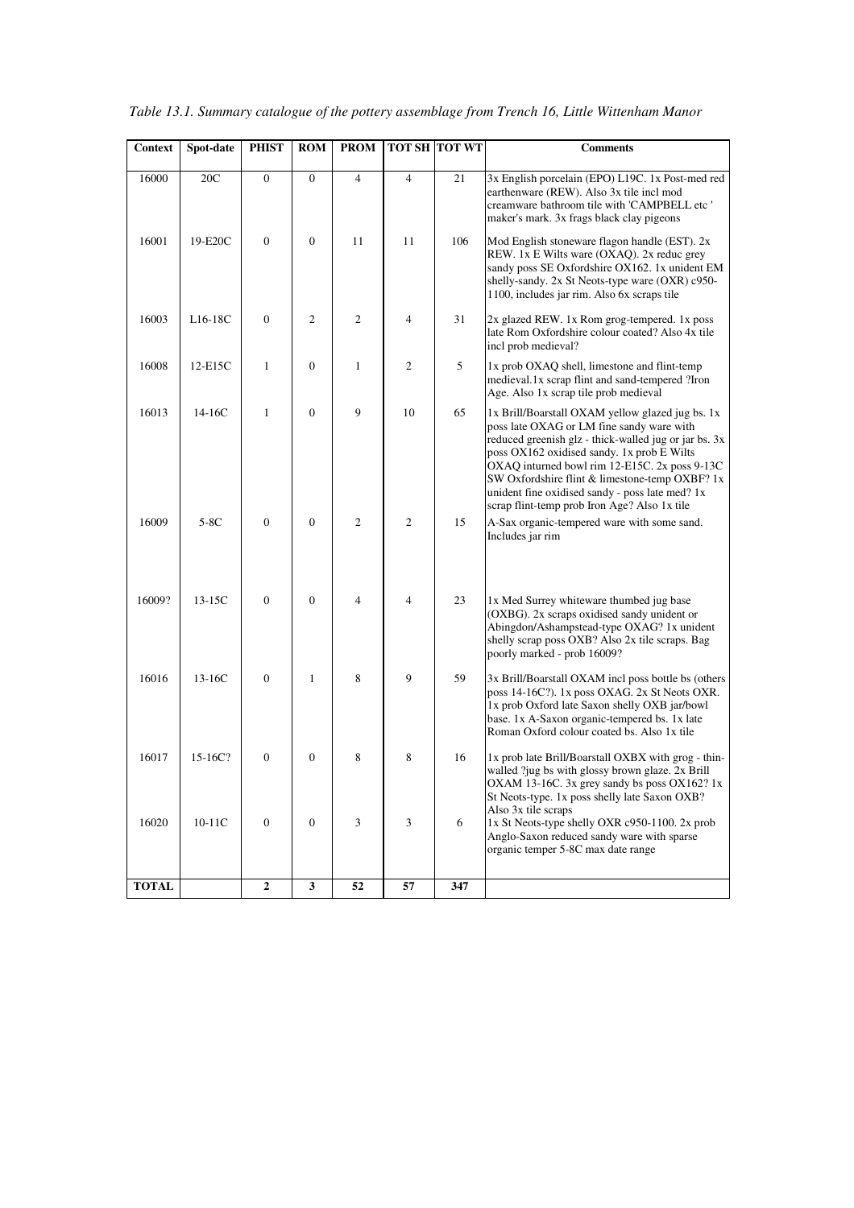| <b>Context</b> | Spot-date | <b>PHIST</b>     | <b>ROM</b>     | <b>PROM</b>    |                | <b>TOT SH TOT WT</b> | <b>Comments</b>                                                                                                                                                                                                                                                                                                                                                                                            |
|----------------|-----------|------------------|----------------|----------------|----------------|----------------------|------------------------------------------------------------------------------------------------------------------------------------------------------------------------------------------------------------------------------------------------------------------------------------------------------------------------------------------------------------------------------------------------------------|
| 16000          | 20C       | $\boldsymbol{0}$ | $\overline{0}$ | $\overline{4}$ | $\overline{4}$ | 21                   | 3x English porcelain (EPO) L19C. 1x Post-med red<br>earthenware (REW). Also 3x tile incl mod<br>creamware bathroom tile with 'CAMPBELL etc'<br>maker's mark. 3x frags black clay pigeons                                                                                                                                                                                                                   |
| 16001          | 19-E20C   | $\boldsymbol{0}$ | $\mathbf{0}$   | 11             | 11             | 106                  | Mod English stoneware flagon handle (EST). 2x<br>REW. 1x E Wilts ware (OXAQ). 2x reduc grey<br>sandy poss SE Oxfordshire OX162. 1x unident EM<br>shelly-sandy. 2x St Neots-type ware (OXR) c950-<br>1100, includes jar rim. Also 6x scraps tile                                                                                                                                                            |
| 16003          | $L16-18C$ | $\boldsymbol{0}$ | $\overline{c}$ | 2              | $\overline{4}$ | 31                   | 2x glazed REW. 1x Rom grog-tempered. 1x poss<br>late Rom Oxfordshire colour coated? Also 4x tile<br>incl prob medieval?                                                                                                                                                                                                                                                                                    |
| 16008          | 12-E15C   | 1                | $\overline{0}$ | 1              | $\overline{2}$ | 5                    | 1x prob OXAQ shell, limestone and flint-temp<br>medieval.1x scrap flint and sand-tempered ?Iron<br>Age. Also 1x scrap tile prob medieval                                                                                                                                                                                                                                                                   |
| 16013          | 14-16C    | $\mathbf{1}$     | $\overline{0}$ | 9              | 10             | 65                   | 1x Brill/Boarstall OXAM yellow glazed jug bs. 1x<br>poss late OXAG or LM fine sandy ware with<br>reduced greenish glz - thick-walled jug or jar bs. 3x<br>poss OX162 oxidised sandy. 1x prob E Wilts<br>OXAQ inturned bowl rim 12-E15C. 2x poss 9-13C<br>SW Oxfordshire flint & limestone-temp OXBF? 1x<br>unident fine oxidised sandy - poss late med? 1x<br>scrap flint-temp prob Iron Age? Also 1x tile |
| 16009          | $5-8C$    | $\overline{0}$   | $\mathbf{0}$   | $\overline{2}$ | $\mathfrak{2}$ | 15                   | A-Sax organic-tempered ware with some sand.<br>Includes jar rim                                                                                                                                                                                                                                                                                                                                            |
| 16009?         | 13-15C    | $\mathbf{0}$     | $\mathbf{0}$   | $\overline{4}$ | $\overline{4}$ | 23                   | 1x Med Surrey whiteware thumbed jug base<br>(OXBG). 2x scraps oxidised sandy unident or<br>Abingdon/Ashampstead-type OXAG? 1x unident<br>shelly scrap poss OXB? Also 2x tile scraps. Bag<br>poorly marked - prob 16009?                                                                                                                                                                                    |
| 16016          | 13-16C    | $\mathbf{0}$     | $\mathbf{1}$   | 8              | 9              | 59                   | 3x Brill/Boarstall OXAM incl poss bottle bs (others<br>poss 14-16C?). 1x poss OXAG. 2x St Neots OXR.<br>1x prob Oxford late Saxon shelly OXB jar/bowl<br>base. 1x A-Saxon organic-tempered bs. 1x late<br>Roman Oxford colour coated bs. Also 1x tile                                                                                                                                                      |
| 16017          | 15-16C?   | $\boldsymbol{0}$ | 0              | 8              | 8              | 16                   | 1x prob late Brill/Boarstall OXBX with grog - thin-<br>walled ?jug bs with glossy brown glaze. 2x Brill<br>OXAM 13-16C. 3x grey sandy bs poss OX162? 1x<br>St Neots-type. 1x poss shelly late Saxon OXB?<br>Also 3x tile scraps                                                                                                                                                                            |
| 16020          | 10-11C    | $\boldsymbol{0}$ | $\mathbf{0}$   | 3              | 3              | 6                    | 1x St Neots-type shelly OXR c950-1100. 2x prob<br>Anglo-Saxon reduced sandy ware with sparse<br>organic temper 5-8C max date range                                                                                                                                                                                                                                                                         |
| <b>TOTAL</b>   |           | $\mathbf{2}$     | 3              | 52             | 57             | 347                  |                                                                                                                                                                                                                                                                                                                                                                                                            |

*Table 13.1. Summary catalogue of the pottery assemblage from Trench 16, Little Wittenham Manor*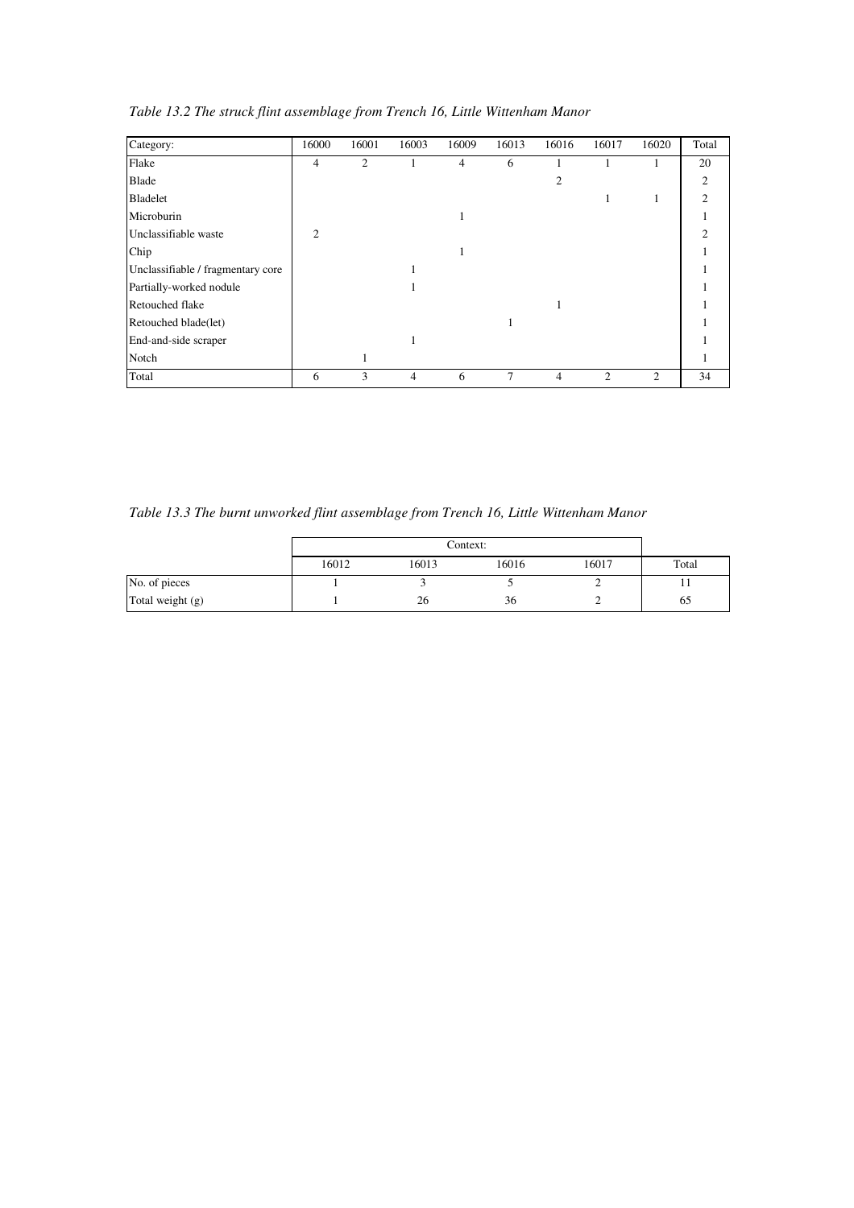| Category:                         | 16000                       | 16001 | 16003          | 16009          | 16013 | 16016 | 16017 | 16020 | Total         |
|-----------------------------------|-----------------------------|-------|----------------|----------------|-------|-------|-------|-------|---------------|
| Flake                             | $\overline{4}$              | 2     | 1              | $\overline{4}$ | 6     |       |       |       | 20            |
| <b>Blade</b>                      |                             |       |                |                |       | 2     |       |       | 2             |
| Bladelet                          |                             |       |                |                |       |       |       |       | $\mathcal{P}$ |
| Microburin                        |                             |       |                | 1              |       |       |       |       |               |
| Unclassifiable waste              | $\mathcal{D}_{\mathcal{L}}$ |       |                |                |       |       |       |       | $\mathcal{D}$ |
| Chip                              |                             |       |                |                |       |       |       |       |               |
| Unclassifiable / fragmentary core |                             |       |                |                |       |       |       |       |               |
| Partially-worked nodule           |                             |       |                |                |       |       |       |       |               |
| Retouched flake                   |                             |       |                |                |       |       |       |       |               |
| Retouched blade(let)              |                             |       |                |                |       |       |       |       |               |
| End-and-side scraper              |                             |       |                |                |       |       |       |       |               |
| Notch                             |                             |       |                |                |       |       |       |       |               |
| Total                             | 6                           | 3     | $\overline{4}$ | 6              | 7     | 4     | 2     | 2     | 34            |

*Table 13.2 The struck flint assemblage from Trench 16, Little Wittenham Manor* 

*Table 13.3 The burnt unworked flint assemblage from Trench 16, Little Wittenham Manor* 

|                  |       |       | Context: |       |       |
|------------------|-------|-------|----------|-------|-------|
|                  | 16012 | 16013 | 16016    | 16017 | Total |
| No. of pieces    |       |       |          |       | 11    |
| Total weight (g) |       | 26    | 36       | ∼     | 65    |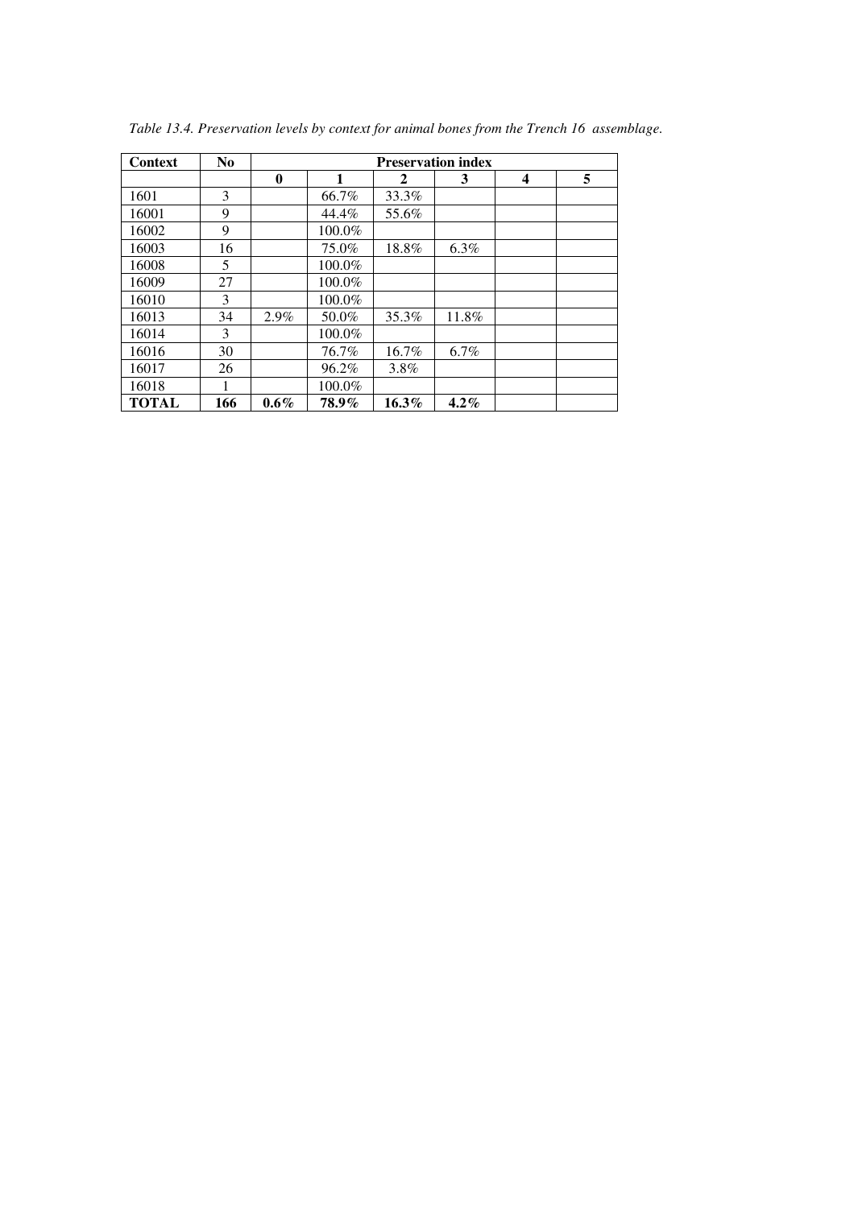| <b>Context</b> | N <sub>0</sub> |          |        |              | <b>Preservation index</b> |   |   |
|----------------|----------------|----------|--------|--------------|---------------------------|---|---|
|                |                | $\bf{0}$ | 1      | $\mathbf{2}$ | 3                         | 4 | 5 |
| 1601           | 3              |          | 66.7%  | 33.3%        |                           |   |   |
| 16001          | 9              |          | 44.4%  | 55.6%        |                           |   |   |
| 16002          | 9              |          | 100.0% |              |                           |   |   |
| 16003          | 16             |          | 75.0%  | 18.8%        | $6.3\%$                   |   |   |
| 16008          | 5              |          | 100.0% |              |                           |   |   |
| 16009          | 27             |          | 100.0% |              |                           |   |   |
| 16010          | 3              |          | 100.0% |              |                           |   |   |
| 16013          | 34             | 2.9%     | 50.0%  | 35.3%        | 11.8%                     |   |   |
| 16014          | 3              |          | 100.0% |              |                           |   |   |
| 16016          | 30             |          | 76.7%  | 16.7%        | 6.7%                      |   |   |
| 16017          | 26             |          | 96.2%  | 3.8%         |                           |   |   |
| 16018          |                |          | 100.0% |              |                           |   |   |
| <b>TOTAL</b>   | 166            | $0.6\%$  | 78.9%  | $16.3\%$     | $4.2\%$                   |   |   |

*Table 13.4. Preservation levels by context for animal bones from the Trench 16 assemblage.*